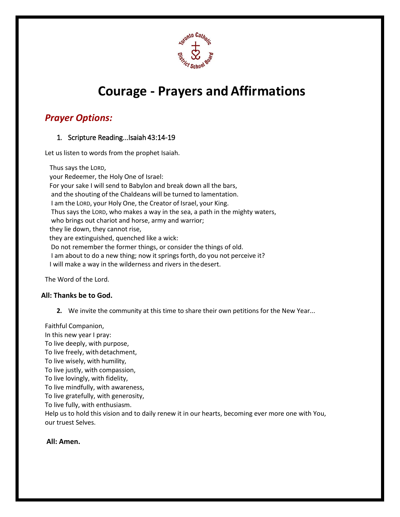

# **Courage - Prayers and Affirmations**

# *Prayer Options:*

## 1. Scripture Reading...Isaiah 43:14-19

Let us listen to words from the prophet Isaiah.

Thus says the LORD, your Redeemer, the Holy One of Israel: For your sake I will send to Babylon and break down all the bars, and the shouting of the Chaldeans will be turned to lamentation. I am the LORD, your Holy One, the Creator of Israel, your King. Thus says the LORD, who makes a way in the sea, a path in the mighty waters, who brings out chariot and horse, army and warrior; they lie down, they cannot rise, they are extinguished, quenched like a wick: Do not remember the former things, or consider the things of old. I am about to do a new thing; now it springs forth, do you not perceive it? I will make a way in the wilderness and rivers in thedesert.

The Word of the Lord.

#### **All: Thanks be to God.**

**2.** We invite the community at this time to share their own petitions for the New Year...

Faithful Companion, In this new year I pray: To live deeply, with purpose, To live freely, with detachment, To live wisely, with humility, To live justly, with compassion, To live lovingly, with fidelity, To live mindfully, with awareness, To live gratefully, with generosity, To live fully, with enthusiasm. Help us to hold this vision and to daily renew it in our hearts, becoming ever more one with You, our truest Selves.

#### **All: Amen.**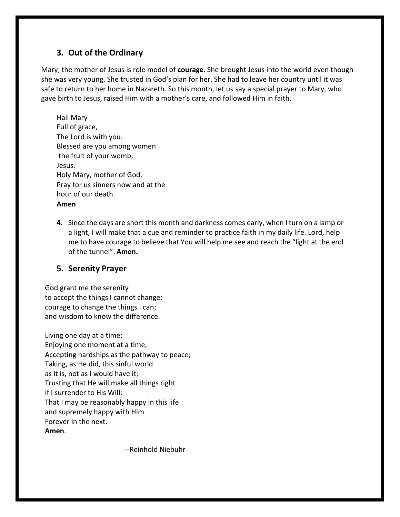## **3. Out of the Ordinary**

Mary, the mother of Jesus is role model of **courage**. She brought Jesus into the world even though she was very young. She trusted in God's plan for her. She had to leave her country until it was safe to return to her home in Nazareth. So this month, let us say a special prayer to Mary, who gave birth to Jesus, raised Him with a mother's care, and followed Him in faith.

Hail Mary Full of grace, The Lord is with you. Blessed are you among women the fruit of your womb, Jesus. Holy Mary, mother of God, Pray for us sinners now and at the hour of our death. **Amen**

**4.** Since the days are short this month and darkness comes early, when I turn on a lamp or a light, I will make that a cue and reminder to practice faith in my daily life. Lord, help me to have courage to believe that You will help me see and reach the "light at the end of the tunnel". **Amen.**

## **5. Serenity Prayer**

God grant me the serenity to accept the things I cannot change; courage to change the things I can; and wisdom to know the difference.

Living one day at a time; Enjoying one moment at a time; Accepting hardships as the pathway to peace; Taking, as He did, this sinful world as it is, not as I would have it; Trusting that He will make all things right if I surrender to His Will; That I may be reasonably happy in this life and supremely happy with Him Forever in the next. **Amen**.

*--*Reinhold Niebuhr